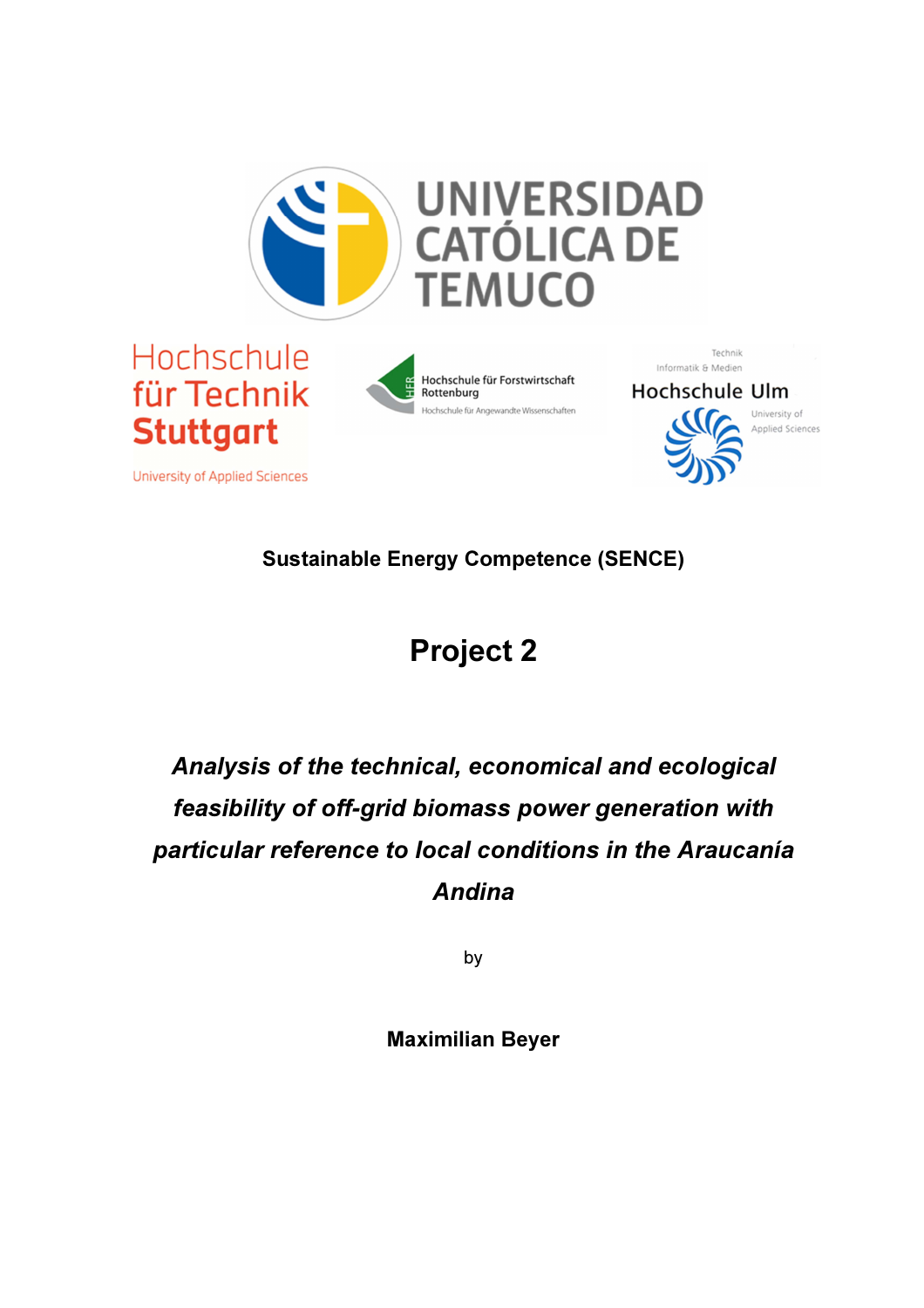





Technik Informatik & Medien **Hochschule Ulm** 



University of Applied Sciences

University of Applied Sciences

Sustainable Energy Competence (SENCE)

## Project 2

## Analysis of the technical, economical and ecological feasibility of off-grid biomass power generation with particular reference to local conditions in the Araucanía Andina

by

Maximilian Beyer